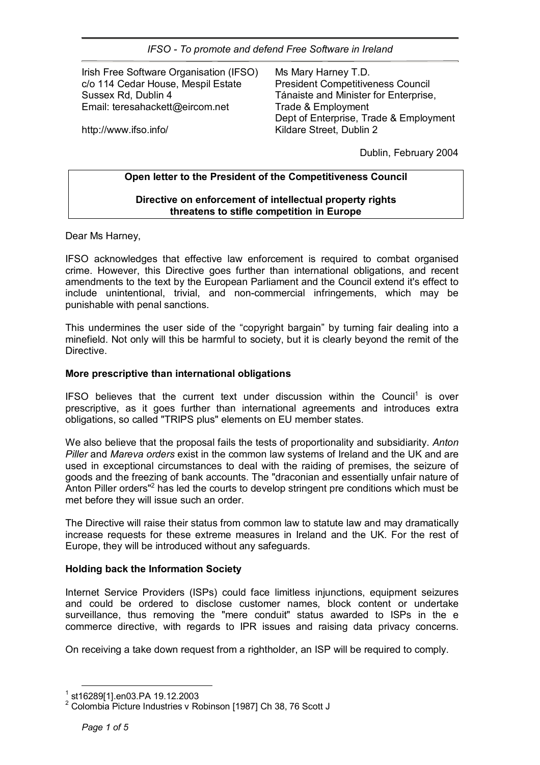Irish Free Software Organisation (IFSO) c/o 114 Cedar House, Mespil Estate Sussex Rd, Dublin 4 Email: teresahackett@eircom.net

Ms Mary Harney T.D. President Competitiveness Council Tánaiste and Minister for Enterprise. Trade & Employment Dept of Enterprise, Trade & Employment Kildare Street, Dublin 2

http://www.ifso.info/

Dublin, February 2004

## **Open letter to the President of the Competitiveness Council**

## **Directive on enforcement of intellectual property rights threatens to stifle competition in Europe**

Dear Ms Harney,

IFSO acknowledges that effective law enforcement is required to combat organised crime. However, this Directive goes further than international obligations, and recent amendments to the text by the European Parliament and the Council extend it's effect to include unintentional, trivial, and non-commercial infringements, which may be punishable with penal sanctions.

This undermines the user side of the "copyright bargain" by turning fair dealing into a minefield. Not only will this be harmful to society, but it is clearly beyond the remit of the Directive.

#### **More prescriptive than international obligations**

IFSO believes that the current text under discussion within the Council<sup>1</sup> is over prescriptive, as it goes further than international agreements and introduces extra obligations, so called "TRIPS plus" elements on EU member states.

We also believe that the proposal fails the tests of proportionality and subsidiarity. *Anton Piller* and *Mareva orders* exist in the common law systems of Ireland and the UK and are used in exceptional circumstances to deal with the raiding of premises, the seizure of goods and the freezing of bank accounts. The "draconian and essentially unfair nature of Anton Piller orders"<sup>2</sup> has led the courts to develop stringent pre conditions which must be met before they will issue such an order.

The Directive will raise their status from common law to statute law and may dramatically increase requests for these extreme measures in Ireland and the UK. For the rest of Europe, they will be introduced without any safeguards.

# **Holding back the Information Society**

Internet Service Providers (ISPs) could face limitless injunctions, equipment seizures and could be ordered to disclose customer names, block content or undertake surveillance, thus removing the "mere conduit" status awarded to ISPs in the e commerce directive, with regards to IPR issues and raising data privacy concerns.

On receiving a take down request from a rightholder, an ISP will be required to comply.

<sup>1</sup> st16289[1].en03.PA 19.12.2003

<sup>&</sup>lt;sup>2</sup> Colombia Picture Industries v Robinson [1987] Ch 38, 76 Scott J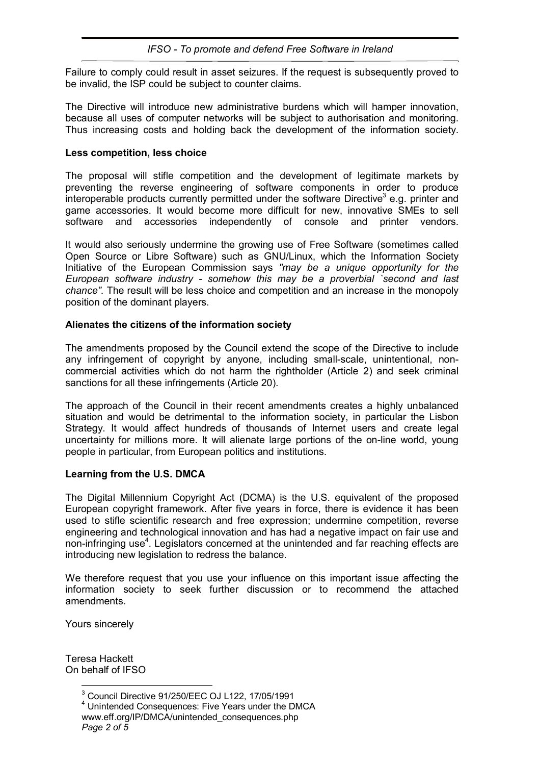Failure to comply could result in asset seizures. If the request is subsequently proved to be invalid, the ISP could be subject to counter claims.

The Directive will introduce new administrative burdens which will hamper innovation, because all uses of computer networks will be subject to authorisation and monitoring. Thus increasing costs and holding back the development of the information society.

## **Less competition, less choice**

The proposal will stifle competition and the development of legitimate markets by preventing the reverse engineering of software components in order to produce interoperable products currently permitted under the software Directive<sup>3</sup> e.g. printer and game accessories. It would become more difficult for new, innovative SMEs to sell software and accessories independently of console and printer vendors.

It would also seriously undermine the growing use of Free Software (sometimes called Open Source or Libre Software) such as GNU/Linux, which the Information Society Initiative of the European Commission says *"may be a unique opportunity for the European software industry - somehow this may be a proverbial `second and last chanceî.* The result will be less choice and competition and an increase in the monopoly position of the dominant players.

## **Alienates the citizens of the information society**

The amendments proposed by the Council extend the scope of the Directive to include any infringement of copyright by anyone, including small-scale, unintentional, noncommercial activities which do not harm the rightholder (Article 2) and seek criminal sanctions for all these infringements (Article 20).

The approach of the Council in their recent amendments creates a highly unbalanced situation and would be detrimental to the information society, in particular the Lisbon Strategy. It would affect hundreds of thousands of Internet users and create legal uncertainty for millions more. It will alienate large portions of the on-line world, young people in particular, from European politics and institutions.

#### **Learning from the U.S. DMCA**

The Digital Millennium Copyright Act (DCMA) is the U.S. equivalent of the proposed European copyright framework. After five years in force, there is evidence it has been used to stifle scientific research and free expression; undermine competition, reverse engineering and technological innovation and has had a negative impact on fair use and non-infringing use<sup>4</sup>. Legislators concerned at the unintended and far reaching effects are introducing new legislation to redress the balance.

We therefore request that you use your influence on this important issue affecting the information society to seek further discussion or to recommend the attached amendments.

Yours sincerely

Teresa Hackett On behalf of IFSO

 $\overline{a}$ 

<sup>3</sup> Council Directive 91/250/EEC OJ L122, 17/05/1991

*Page 2 of 5*  4 Unintended Consequences: Five Years under the DMCA www.eff.org/IP/DMCA/unintended\_consequences.php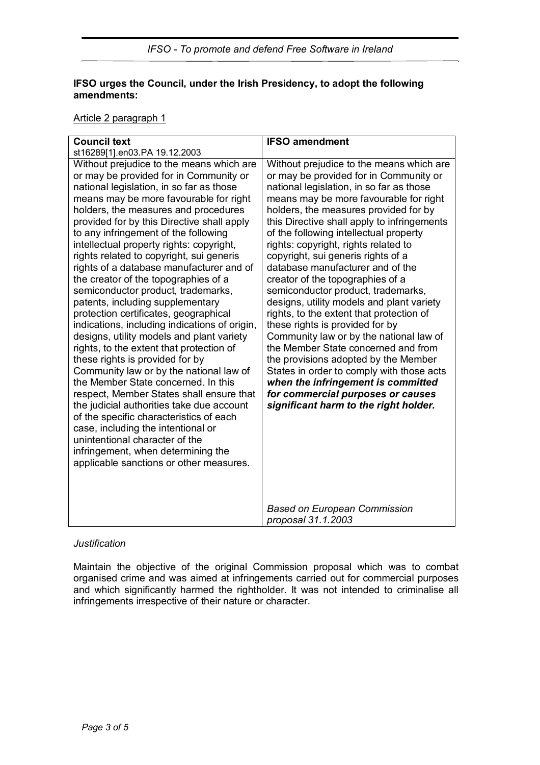# **IFSO urges the Council, under the Irish Presidency, to adopt the following amendments:**

## Article 2 paragraph 1

| <b>Council text</b>                                                                                                                                                                                                                                                                                                                                                                                                                                                                                                                                                                                                                                                                                                                                                                                                                                                                                                                                                                                                                                                                                                                                               | <b>IFSO amendment</b>                                                                                                                                                                                                                                                                                                                                                                                                                                                                                                                                                                                                                                                                                                                                                                                                                                                                                                         |
|-------------------------------------------------------------------------------------------------------------------------------------------------------------------------------------------------------------------------------------------------------------------------------------------------------------------------------------------------------------------------------------------------------------------------------------------------------------------------------------------------------------------------------------------------------------------------------------------------------------------------------------------------------------------------------------------------------------------------------------------------------------------------------------------------------------------------------------------------------------------------------------------------------------------------------------------------------------------------------------------------------------------------------------------------------------------------------------------------------------------------------------------------------------------|-------------------------------------------------------------------------------------------------------------------------------------------------------------------------------------------------------------------------------------------------------------------------------------------------------------------------------------------------------------------------------------------------------------------------------------------------------------------------------------------------------------------------------------------------------------------------------------------------------------------------------------------------------------------------------------------------------------------------------------------------------------------------------------------------------------------------------------------------------------------------------------------------------------------------------|
| st16289[1].en03.PA 19.12.2003                                                                                                                                                                                                                                                                                                                                                                                                                                                                                                                                                                                                                                                                                                                                                                                                                                                                                                                                                                                                                                                                                                                                     |                                                                                                                                                                                                                                                                                                                                                                                                                                                                                                                                                                                                                                                                                                                                                                                                                                                                                                                               |
| Without prejudice to the means which are<br>or may be provided for in Community or<br>national legislation, in so far as those<br>means may be more favourable for right<br>holders, the measures and procedures<br>provided for by this Directive shall apply<br>to any infringement of the following<br>intellectual property rights: copyright,<br>rights related to copyright, sui generis<br>rights of a database manufacturer and of<br>the creator of the topographies of a<br>semiconductor product, trademarks,<br>patents, including supplementary<br>protection certificates, geographical<br>indications, including indications of origin,<br>designs, utility models and plant variety<br>rights, to the extent that protection of<br>these rights is provided for by<br>Community law or by the national law of<br>the Member State concerned. In this<br>respect, Member States shall ensure that<br>the judicial authorities take due account<br>of the specific characteristics of each<br>case, including the intentional or<br>unintentional character of the<br>infringement, when determining the<br>applicable sanctions or other measures. | Without prejudice to the means which are<br>or may be provided for in Community or<br>national legislation, in so far as those<br>means may be more favourable for right<br>holders, the measures provided for by<br>this Directive shall apply to infringements<br>of the following intellectual property<br>rights: copyright, rights related to<br>copyright, sui generis rights of a<br>database manufacturer and of the<br>creator of the topographies of a<br>semiconductor product, trademarks,<br>designs, utility models and plant variety<br>rights, to the extent that protection of<br>these rights is provided for by<br>Community law or by the national law of<br>the Member State concerned and from<br>the provisions adopted by the Member<br>States in order to comply with those acts<br>when the infringement is committed<br>for commercial purposes or causes<br>significant harm to the right holder. |
|                                                                                                                                                                                                                                                                                                                                                                                                                                                                                                                                                                                                                                                                                                                                                                                                                                                                                                                                                                                                                                                                                                                                                                   | <b>Based on European Commission</b><br>proposal 31.1.2003                                                                                                                                                                                                                                                                                                                                                                                                                                                                                                                                                                                                                                                                                                                                                                                                                                                                     |

# *Justification*

Maintain the objective of the original Commission proposal which was to combat organised crime and was aimed at infringements carried out for commercial purposes and which significantly harmed the rightholder. It was not intended to criminalise all infringements irrespective of their nature or character.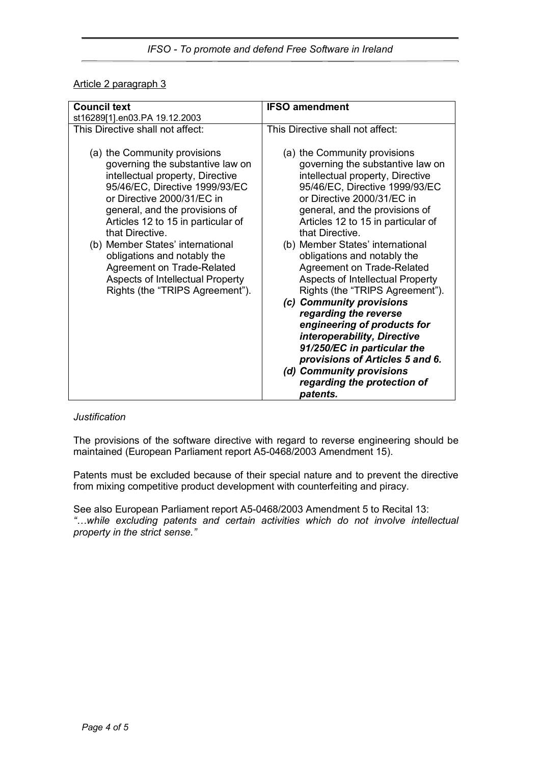# Article 2 paragraph 3

| <b>Council text</b>                                                                                                                                                                                                                                                                                                                                                                                                                     | <b>IFSO amendment</b>                                                                                                                                                                                                                                                                                                                                                                                                                                                                                                                                                                                                                                                                                      |
|-----------------------------------------------------------------------------------------------------------------------------------------------------------------------------------------------------------------------------------------------------------------------------------------------------------------------------------------------------------------------------------------------------------------------------------------|------------------------------------------------------------------------------------------------------------------------------------------------------------------------------------------------------------------------------------------------------------------------------------------------------------------------------------------------------------------------------------------------------------------------------------------------------------------------------------------------------------------------------------------------------------------------------------------------------------------------------------------------------------------------------------------------------------|
| st16289[1].en03.PA 19.12.2003                                                                                                                                                                                                                                                                                                                                                                                                           |                                                                                                                                                                                                                                                                                                                                                                                                                                                                                                                                                                                                                                                                                                            |
| This Directive shall not affect:                                                                                                                                                                                                                                                                                                                                                                                                        | This Directive shall not affect:                                                                                                                                                                                                                                                                                                                                                                                                                                                                                                                                                                                                                                                                           |
| (a) the Community provisions<br>governing the substantive law on<br>intellectual property, Directive<br>95/46/EC, Directive 1999/93/EC<br>or Directive 2000/31/EC in<br>general, and the provisions of<br>Articles 12 to 15 in particular of<br>that Directive.<br>(b) Member States' international<br>obligations and notably the<br>Agreement on Trade-Related<br>Aspects of Intellectual Property<br>Rights (the "TRIPS Agreement"). | (a) the Community provisions<br>governing the substantive law on<br>intellectual property, Directive<br>95/46/EC, Directive 1999/93/EC<br>or Directive 2000/31/EC in<br>general, and the provisions of<br>Articles 12 to 15 in particular of<br>that Directive.<br>(b) Member States' international<br>obligations and notably the<br><b>Agreement on Trade-Related</b><br>Aspects of Intellectual Property<br>Rights (the "TRIPS Agreement").<br>(c) Community provisions<br>regarding the reverse<br>engineering of products for<br>interoperability, Directive<br>91/250/EC in particular the<br>provisions of Articles 5 and 6.<br>(d) Community provisions<br>regarding the protection of<br>patents. |

#### *Justification*

The provisions of the software directive with regard to reverse engineering should be maintained (European Parliament report A5-0468/2003 Amendment 15).

Patents must be excluded because of their special nature and to prevent the directive from mixing competitive product development with counterfeiting and piracy.

See also European Parliament report A5-0468/2003 Amendment 5 to Recital 13: <sup>"</sup>...while excluding patents and certain activities which do not involve intellectual *property in the strict sense.î*